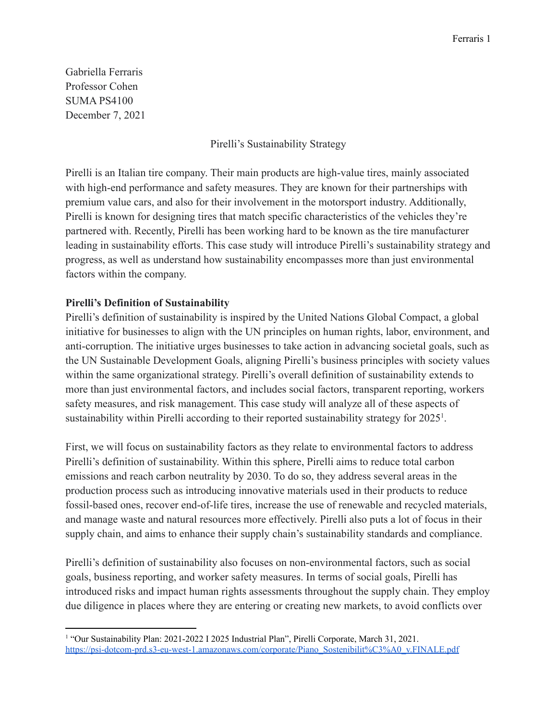Gabriella Ferraris Professor Cohen SUMA PS4100 December 7, 2021

Pirelli's Sustainability Strategy

Pirelli is an Italian tire company. Their main products are high-value tires, mainly associated with high-end performance and safety measures. They are known for their partnerships with premium value cars, and also for their involvement in the motorsport industry. Additionally, Pirelli is known for designing tires that match specific characteristics of the vehicles they're partnered with. Recently, Pirelli has been working hard to be known as the tire manufacturer leading in sustainability efforts. This case study will introduce Pirelli's sustainability strategy and progress, as well as understand how sustainability encompasses more than just environmental factors within the company.

## **Pirelli's Definition of Sustainability**

Pirelli's definition of sustainability is inspired by the United Nations Global Compact, a global initiative for businesses to align with the UN principles on human rights, labor, environment, and anti-corruption. The initiative urges businesses to take action in advancing societal goals, such as the UN Sustainable Development Goals, aligning Pirelli's business principles with society values within the same organizational strategy. Pirelli's overall definition of sustainability extends to more than just environmental factors, and includes social factors, transparent reporting, workers safety measures, and risk management. This case study will analyze all of these aspects of sustainability within Pirelli according to their reported sustainability strategy for  $2025<sup>1</sup>$ .

First, we will focus on sustainability factors as they relate to environmental factors to address Pirelli's definition of sustainability. Within this sphere, Pirelli aims to reduce total carbon emissions and reach carbon neutrality by 2030. To do so, they address several areas in the production process such as introducing innovative materials used in their products to reduce fossil-based ones, recover end-of-life tires, increase the use of renewable and recycled materials, and manage waste and natural resources more effectively. Pirelli also puts a lot of focus in their supply chain, and aims to enhance their supply chain's sustainability standards and compliance.

Pirelli's definition of sustainability also focuses on non-environmental factors, such as social goals, business reporting, and worker safety measures. In terms of social goals, Pirelli has introduced risks and impact human rights assessments throughout the supply chain. They employ due diligence in places where they are entering or creating new markets, to avoid conflicts over

<sup>&</sup>lt;sup>1</sup> "Our Sustainability Plan: 2021-2022 I 2025 Industrial Plan", Pirelli Corporate, March 31, 2021. [https://psi-dotcom-prd.s3-eu-west-1.amazonaws.com/corporate/Piano\\_Sostenibilit%C3%A0\\_v.FINALE.pdf](https://psi-dotcom-prd.s3-eu-west-1.amazonaws.com/corporate/Piano_Sostenibilit%C3%A0_v.FINALE.pdf)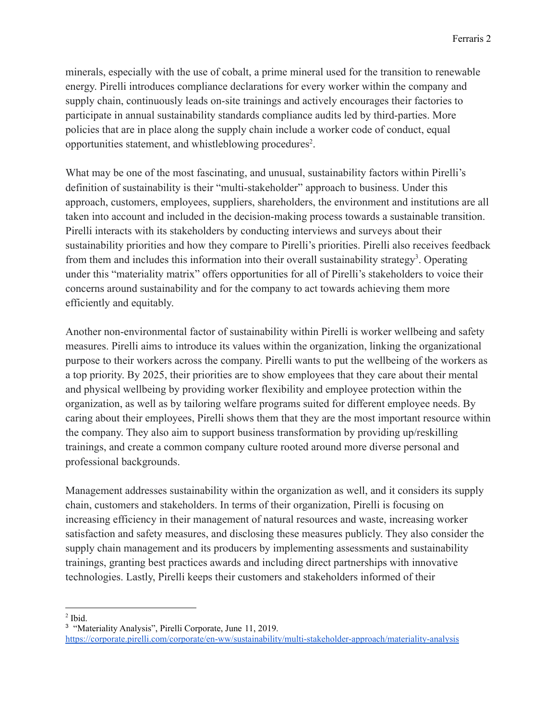minerals, especially with the use of cobalt, a prime mineral used for the transition to renewable energy. Pirelli introduces compliance declarations for every worker within the company and supply chain, continuously leads on-site trainings and actively encourages their factories to participate in annual sustainability standards compliance audits led by third-parties. More policies that are in place along the supply chain include a worker code of conduct, equal opportunities statement, and whistleblowing procedures<sup>2</sup>.

What may be one of the most fascinating, and unusual, sustainability factors within Pirelli's definition of sustainability is their "multi-stakeholder" approach to business. Under this approach, customers, employees, suppliers, shareholders, the environment and institutions are all taken into account and included in the decision-making process towards a sustainable transition. Pirelli interacts with its stakeholders by conducting interviews and surveys about their sustainability priorities and how they compare to Pirelli's priorities. Pirelli also receives feedback from them and includes this information into their overall sustainability strategy<sup>3</sup>. Operating under this "materiality matrix" offers opportunities for all of Pirelli's stakeholders to voice their concerns around sustainability and for the company to act towards achieving them more efficiently and equitably.

Another non-environmental factor of sustainability within Pirelli is worker wellbeing and safety measures. Pirelli aims to introduce its values within the organization, linking the organizational purpose to their workers across the company. Pirelli wants to put the wellbeing of the workers as a top priority. By 2025, their priorities are to show employees that they care about their mental and physical wellbeing by providing worker flexibility and employee protection within the organization, as well as by tailoring welfare programs suited for different employee needs. By caring about their employees, Pirelli shows them that they are the most important resource within the company. They also aim to support business transformation by providing up/reskilling trainings, and create a common company culture rooted around more diverse personal and professional backgrounds.

Management addresses sustainability within the organization as well, and it considers its supply chain, customers and stakeholders. In terms of their organization, Pirelli is focusing on increasing efficiency in their management of natural resources and waste, increasing worker satisfaction and safety measures, and disclosing these measures publicly. They also consider the supply chain management and its producers by implementing assessments and sustainability trainings, granting best practices awards and including direct partnerships with innovative technologies. Lastly, Pirelli keeps their customers and stakeholders informed of their

 $<sup>2</sup>$  Ibid.</sup>

<sup>3</sup> "Materiality Analysis", Pirelli Corporate, June 11, 2019. <https://corporate.pirelli.com/corporate/en-ww/sustainability/multi-stakeholder-approach/materiality-analysis>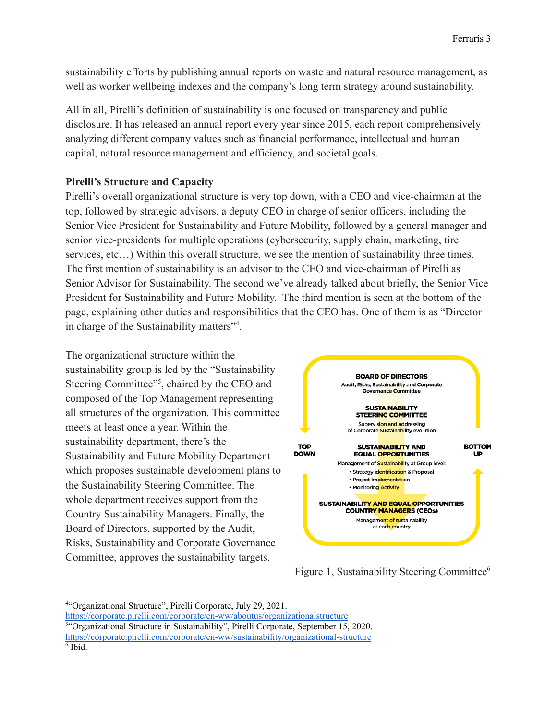sustainability efforts by publishing annual reports on waste and natural resource management, as well as worker wellbeing indexes and the company's long term strategy around sustainability.

All in all, Pirelli's definition of sustainability is one focused on transparency and public disclosure. It has released an annual report every year since 2015, each report comprehensively analyzing different company values such as financial performance, intellectual and human capital, natural resource management and efficiency, and societal goals.

#### **Pirelli's Structure and Capacity**

Pirelli's overall organizational structure is very top down, with a CEO and vice-chairman at the top, followed by strategic advisors, a deputy CEO in charge of senior officers, including the Senior Vice President for Sustainability and Future Mobility, followed by a general manager and senior vice-presidents for multiple operations (cybersecurity, supply chain, marketing, tire services, etc...) Within this overall structure, we see the mention of sustainability three times. The first mention of sustainability is an advisor to the CEO and vice-chairman of Pirelli as Senior Advisor for Sustainability. The second we've already talked about briefly, the Senior Vice President for Sustainability and Future Mobility. The third mention is seen at the bottom of the page, explaining other duties and responsibilities that the CEO has. One of them is as "Director in charge of the Sustainability matters"<sup>4</sup> .

The organizational structure within the sustainability group is led by the "Sustainability Steering Committee"<sup>5</sup>, chaired by the CEO and composed of the Top Management representing all structures of the organization. This committee meets at least once a year. Within the sustainability department, there's the Sustainability and Future Mobility Department which proposes sustainable development plans to the Sustainability Steering Committee. The whole department receives support from the Country Sustainability Managers. Finally, the Board of Directors, supported by the Audit, Risks, Sustainability and Corporate Governance Committee, approves the sustainability targets.



Figure 1, Sustainability Steering Committee<sup>6</sup>

<https://corporate.pirelli.com/corporate/en-ww/aboutus/organizationalstructure>

<sup>4</sup>"Organizational Structure", Pirelli Corporate, July 29, 2021.

<sup>&</sup>lt;sup>5"</sup>Organizational Structure in Sustainability", Pirelli Corporate, September 15, 2020.

<https://corporate.pirelli.com/corporate/en-ww/sustainability/organizational-structure>

<sup>6</sup> Ibid.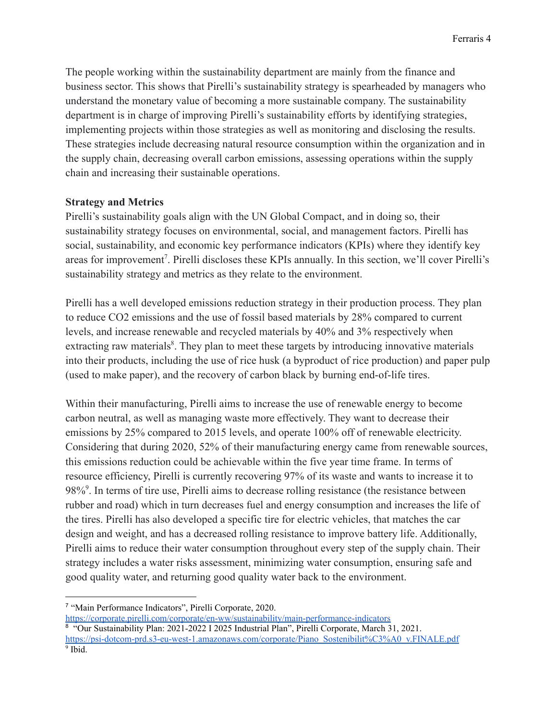The people working within the sustainability department are mainly from the finance and business sector. This shows that Pirelli's sustainability strategy is spearheaded by managers who understand the monetary value of becoming a more sustainable company. The sustainability department is in charge of improving Pirelli's sustainability efforts by identifying strategies, implementing projects within those strategies as well as monitoring and disclosing the results. These strategies include decreasing natural resource consumption within the organization and in the supply chain, decreasing overall carbon emissions, assessing operations within the supply chain and increasing their sustainable operations.

#### **Strategy and Metrics**

Pirelli's sustainability goals align with the UN Global Compact, and in doing so, their sustainability strategy focuses on environmental, social, and management factors. Pirelli has social, sustainability, and economic key performance indicators (KPIs) where they identify key areas for improvement<sup>7</sup>. Pirelli discloses these KPIs annually. In this section, we'll cover Pirelli's sustainability strategy and metrics as they relate to the environment.

Pirelli has a well developed emissions reduction strategy in their production process. They plan to reduce CO2 emissions and the use of fossil based materials by 28% compared to current levels, and increase renewable and recycled materials by 40% and 3% respectively when extracting raw materials<sup>8</sup>. They plan to meet these targets by introducing innovative materials into their products, including the use of rice husk (a byproduct of rice production) and paper pulp (used to make paper), and the recovery of carbon black by burning end-of-life tires.

Within their manufacturing, Pirelli aims to increase the use of renewable energy to become carbon neutral, as well as managing waste more effectively. They want to decrease their emissions by 25% compared to 2015 levels, and operate 100% off of renewable electricity. Considering that during 2020, 52% of their manufacturing energy came from renewable sources, this emissions reduction could be achievable within the five year time frame. In terms of resource efficiency, Pirelli is currently recovering 97% of its waste and wants to increase it to 98%<sup>9</sup>. In terms of tire use, Pirelli aims to decrease rolling resistance (the resistance between rubber and road) which in turn decreases fuel and energy consumption and increases the life of the tires. Pirelli has also developed a specific tire for electric vehicles, that matches the car design and weight, and has a decreased rolling resistance to improve battery life. Additionally, Pirelli aims to reduce their water consumption throughout every step of the supply chain. Their strategy includes a water risks assessment, minimizing water consumption, ensuring safe and good quality water, and returning good quality water back to the environment.

<sup>7</sup> "Main Performance Indicators", Pirelli Corporate, 2020.

<sup>&</sup>lt;sup>8</sup> "Our Sustainability Plan: 2021-2022 I 2025 Industrial Plan", Pirelli Corporate, March 31, 2021. [https://psi-dotcom-prd.s3-eu-west-1.amazonaws.com/corporate/Piano\\_Sostenibilit%C3%A0\\_v.FINALE.pdf](https://psi-dotcom-prd.s3-eu-west-1.amazonaws.com/corporate/Piano_Sostenibilit%C3%A0_v.FINALE.pdf) <https://corporate.pirelli.com/corporate/en-ww/sustainability/main-performance-indicators>

<sup>&</sup>lt;sup>9</sup> Ibid.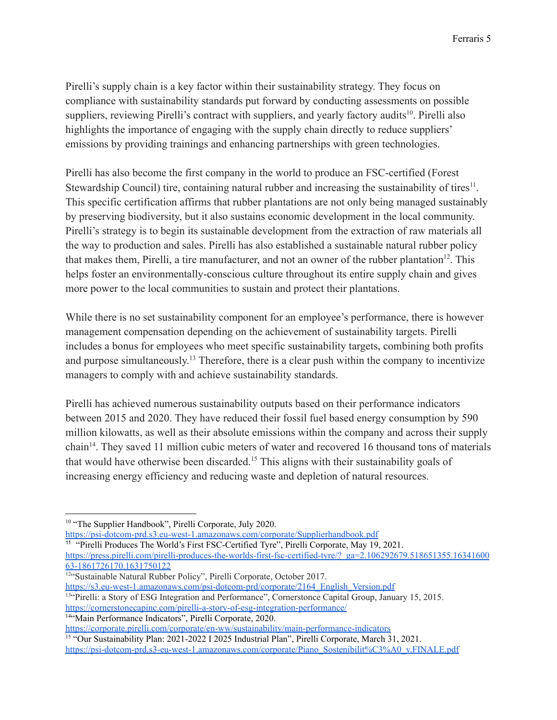Pirelli's supply chain is a key factor within their sustainability strategy. They focus on compliance with sustainability standards put forward by conducting assessments on possible suppliers, reviewing Pirelli's contract with suppliers, and yearly factory audits<sup>10</sup>. Pirelli also highlights the importance of engaging with the supply chain directly to reduce suppliers' emissions by providing trainings and enhancing partnerships with green technologies.

Pirelli has also become the first company in the world to produce an FSC-certified (Forest Stewardship Council) tire, containing natural rubber and increasing the sustainability of tires<sup>11</sup>. This specific certification affirms that rubber plantations are not only being managed sustainably by preserving biodiversity, but it also sustains economic development in the local community. Pirelli's strategy is to begin its sustainable development from the extraction of raw materials all the way to production and sales. Pirelli has also established a sustainable natural rubber policy that makes them, Pirelli, a tire manufacturer, and not an owner of the rubber plantation<sup>12</sup>. This helps foster an environmentally-conscious culture throughout its entire supply chain and gives more power to the local communities to sustain and protect their plantations.

While there is no set sustainability component for an employee's performance, there is however management compensation depending on the achievement of sustainability targets. Pirelli includes a bonus for employees who meet specific sustainability targets, combining both profits and purpose simultaneously.<sup>13</sup> Therefore, there is a clear push within the company to incentivize managers to comply with and achieve sustainability standards.

Pirelli has achieved numerous sustainability outputs based on their performance indicators between 2015 and 2020. They have reduced their fossil fuel based energy consumption by 590 million kilowatts, as well as their absolute emissions within the company and across their supply chain<sup>14</sup>. They saved 11 million cubic meters of water and recovered 16 thousand tons of materials that would have otherwise been discarded.<sup>15</sup> This aligns with their sustainability goals of increasing energy efficiency and reducing waste and depletion of natural resources.

<sup>11</sup> "Pirelli Produces The World's First FSC-Certified Tyre", Pirelli Corporate, May 19, 2021. [https://press.pirelli.com/pirelli-produces-the-worlds-first-fsc-certified-tyre/?\\_ga=2.106292679.518651355.16341600](https://press.pirelli.com/pirelli-produces-the-worlds-first-fsc-certified-tyre/?_ga=2.106292679.518651355.1634160063-1861726170.1631750122) [63-1861726170.1631750122](https://press.pirelli.com/pirelli-produces-the-worlds-first-fsc-certified-tyre/?_ga=2.106292679.518651355.1634160063-1861726170.1631750122)

<sup>13"</sup>Pirelli: a Story of ESG Integration and Performance", Cornerstonce Capital Group, January 15, 2015. <https://cornerstonecapinc.com/pirelli-a-story-of-esg-integration-performance/> [https://s3.eu-west-1.amazonaws.com/psi-dotcom-prd/corporate/2164\\_English\\_Version.pdf](https://s3.eu-west-1.amazonaws.com/psi-dotcom-prd/corporate/2164_English_Version.pdf)

14"Main Performance Indicators", Pirelli Corporate, 2020.

<sup>&</sup>lt;sup>10</sup> "The Supplier Handbook", Pirelli Corporate, July 2020.

<https://psi-dotcom-prd.s3.eu-west-1.amazonaws.com/corporate/Supplierhandbook.pdf>

<sup>12&</sup>quot;Sustainable Natural Rubber Policy", Pirelli Corporate, October 2017.

<https://corporate.pirelli.com/corporate/en-ww/sustainability/main-performance-indicators>

<sup>&</sup>lt;sup>15 "</sup>Our Sustainability Plan: 2021-2022 I 2025 Industrial Plan", Pirelli Corporate, March 31, 2021. [https://psi-dotcom-prd.s3-eu-west-1.amazonaws.com/corporate/Piano\\_Sostenibilit%C3%A0\\_v.FINALE.pdf](https://psi-dotcom-prd.s3-eu-west-1.amazonaws.com/corporate/Piano_Sostenibilit%C3%A0_v.FINALE.pdf)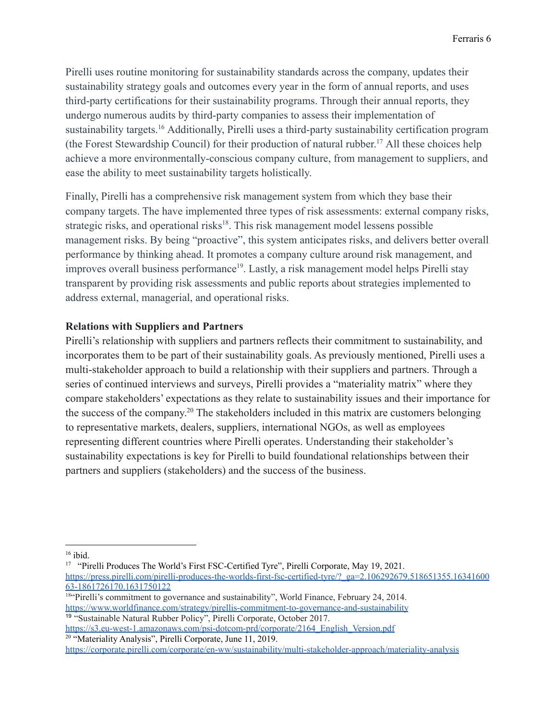Pirelli uses routine monitoring for sustainability standards across the company, updates their sustainability strategy goals and outcomes every year in the form of annual reports, and uses third-party certifications for their sustainability programs. Through their annual reports, they undergo numerous audits by third-party companies to assess their implementation of sustainability targets.<sup>16</sup> Additionally, Pirelli uses a third-party sustainability certification program (the Forest Stewardship Council) for their production of natural rubber. <sup>17</sup> All these choices help achieve a more environmentally-conscious company culture, from management to suppliers, and ease the ability to meet sustainability targets holistically.

Finally, Pirelli has a comprehensive risk management system from which they base their company targets. The have implemented three types of risk assessments: external company risks, strategic risks, and operational risks<sup>18</sup>. This risk management model lessens possible management risks. By being "proactive", this system anticipates risks, and delivers better overall performance by thinking ahead. It promotes a company culture around risk management, and improves overall business performance<sup>19</sup>. Lastly, a risk management model helps Pirelli stay transparent by providing risk assessments and public reports about strategies implemented to address external, managerial, and operational risks.

## **Relations with Suppliers and Partners**

Pirelli's relationship with suppliers and partners reflects their commitment to sustainability, and incorporates them to be part of their sustainability goals. As previously mentioned, Pirelli uses a multi-stakeholder approach to build a relationship with their suppliers and partners. Through a series of continued interviews and surveys, Pirelli provides a "materiality matrix" where they compare stakeholders' expectations as they relate to sustainability issues and their importance for the success of the company. <sup>20</sup> The stakeholders included in this matrix are customers belonging to representative markets, dealers, suppliers, international NGOs, as well as employees representing different countries where Pirelli operates. Understanding their stakeholder's sustainability expectations is key for Pirelli to build foundational relationships between their partners and suppliers (stakeholders) and the success of the business.

<sup>20</sup> "Materiality Analysis", Pirelli Corporate, June 11, 2019. [https://s3.eu-west-1.amazonaws.com/psi-dotcom-prd/corporate/2164\\_English\\_Version.pdf](https://s3.eu-west-1.amazonaws.com/psi-dotcom-prd/corporate/2164_English_Version.pdf)

 $16$  ibid.

<sup>&</sup>lt;sup>17</sup> "Pirelli Produces The World's First FSC-Certified Tyre", Pirelli Corporate, May 19, 2021. [https://press.pirelli.com/pirelli-produces-the-worlds-first-fsc-certified-tyre/?\\_ga=2.106292679.518651355.16341600](https://press.pirelli.com/pirelli-produces-the-worlds-first-fsc-certified-tyre/?_ga=2.106292679.518651355.1634160063-1861726170.1631750122) [63-1861726170.1631750122](https://press.pirelli.com/pirelli-produces-the-worlds-first-fsc-certified-tyre/?_ga=2.106292679.518651355.1634160063-1861726170.1631750122)

<sup>19</sup> "Sustainable Natural Rubber Policy", Pirelli Corporate, October 2017. <sup>18"</sup>Pirelli's commitment to governance and sustainability", World Finance, February 24, 2014. <https://www.worldfinance.com/strategy/pirellis-commitment-to-governance-and-sustainability>

<https://corporate.pirelli.com/corporate/en-ww/sustainability/multi-stakeholder-approach/materiality-analysis>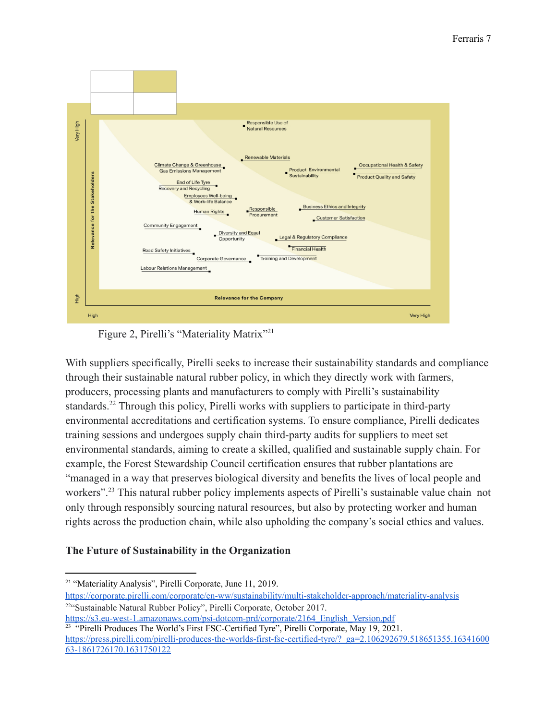

Figure 2, Pirelli's "Materiality Matrix"<sup>21</sup>

With suppliers specifically, Pirelli seeks to increase their sustainability standards and compliance through their sustainable natural rubber policy, in which they directly work with farmers, producers, processing plants and manufacturers to comply with Pirelli's sustainability standards.<sup>22</sup> Through this policy, Pirelli works with suppliers to participate in third-party environmental accreditations and certification systems. To ensure compliance, Pirelli dedicates training sessions and undergoes supply chain third-party audits for suppliers to meet set environmental standards, aiming to create a skilled, qualified and sustainable supply chain. For example, the Forest Stewardship Council certification ensures that rubber plantations are "managed in a way that preserves biological diversity and benefits the lives of local people and workers".<sup>23</sup> This natural rubber policy implements aspects of Pirelli's sustainable value chain not only through responsibly sourcing natural resources, but also by protecting worker and human rights across the production chain, while also upholding the company's social ethics and values.

# **The Future of Sustainability in the Organization**

<sup>21</sup> "Materiality Analysis", Pirelli Corporate, June 11, 2019.

<sup>22</sup>"Sustainable Natural Rubber Policy", Pirelli Corporate, October 2017. <https://corporate.pirelli.com/corporate/en-ww/sustainability/multi-stakeholder-approach/materiality-analysis>

<sup>&</sup>lt;sup>23</sup> "Pirelli Produces The World's First FSC-Certified Tyre", Pirelli Corporate, May 19, 2021. [https://s3.eu-west-1.amazonaws.com/psi-dotcom-prd/corporate/2164\\_English\\_Version.pdf](https://s3.eu-west-1.amazonaws.com/psi-dotcom-prd/corporate/2164_English_Version.pdf)

[https://press.pirelli.com/pirelli-produces-the-worlds-first-fsc-certified-tyre/?\\_ga=2.106292679.518651355.16341600](https://press.pirelli.com/pirelli-produces-the-worlds-first-fsc-certified-tyre/?_ga=2.106292679.518651355.1634160063-1861726170.1631750122) [63-1861726170.1631750122](https://press.pirelli.com/pirelli-produces-the-worlds-first-fsc-certified-tyre/?_ga=2.106292679.518651355.1634160063-1861726170.1631750122)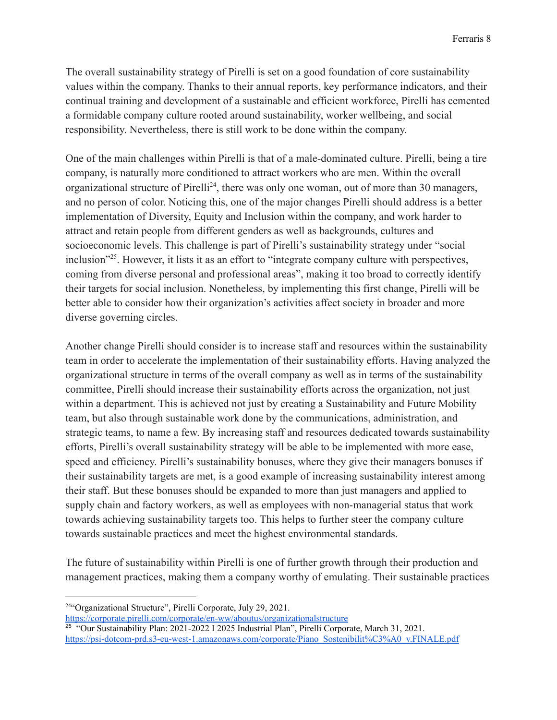The overall sustainability strategy of Pirelli is set on a good foundation of core sustainability values within the company. Thanks to their annual reports, key performance indicators, and their continual training and development of a sustainable and efficient workforce, Pirelli has cemented a formidable company culture rooted around sustainability, worker wellbeing, and social responsibility. Nevertheless, there is still work to be done within the company.

One of the main challenges within Pirelli is that of a male-dominated culture. Pirelli, being a tire company, is naturally more conditioned to attract workers who are men. Within the overall organizational structure of Pirelli<sup>24</sup>, there was only one woman, out of more than 30 managers, and no person of color. Noticing this, one of the major changes Pirelli should address is a better implementation of Diversity, Equity and Inclusion within the company, and work harder to attract and retain people from different genders as well as backgrounds, cultures and socioeconomic levels. This challenge is part of Pirelli's sustainability strategy under "social inclusion"<sup>25</sup>. However, it lists it as an effort to "integrate company culture with perspectives, coming from diverse personal and professional areas", making it too broad to correctly identify their targets for social inclusion. Nonetheless, by implementing this first change, Pirelli will be better able to consider how their organization's activities affect society in broader and more diverse governing circles.

Another change Pirelli should consider is to increase staff and resources within the sustainability team in order to accelerate the implementation of their sustainability efforts. Having analyzed the organizational structure in terms of the overall company as well as in terms of the sustainability committee, Pirelli should increase their sustainability efforts across the organization, not just within a department. This is achieved not just by creating a Sustainability and Future Mobility team, but also through sustainable work done by the communications, administration, and strategic teams, to name a few. By increasing staff and resources dedicated towards sustainability efforts, Pirelli's overall sustainability strategy will be able to be implemented with more ease, speed and efficiency. Pirelli's sustainability bonuses, where they give their managers bonuses if their sustainability targets are met, is a good example of increasing sustainability interest among their staff. But these bonuses should be expanded to more than just managers and applied to supply chain and factory workers, as well as employees with non-managerial status that work towards achieving sustainability targets too. This helps to further steer the company culture towards sustainable practices and meet the highest environmental standards.

The future of sustainability within Pirelli is one of further growth through their production and management practices, making them a company worthy of emulating. Their sustainable practices

<sup>24</sup>"Organizational Structure", Pirelli Corporate, July 29, 2021.

<https://corporate.pirelli.com/corporate/en-ww/aboutus/organizationalstructure>

<sup>&</sup>lt;sup>25</sup> "Our Sustainability Plan: 2021-2022 I 2025 Industrial Plan", Pirelli Corporate, March 31, 2021. [https://psi-dotcom-prd.s3-eu-west-1.amazonaws.com/corporate/Piano\\_Sostenibilit%C3%A0\\_v.FINALE.pdf](https://psi-dotcom-prd.s3-eu-west-1.amazonaws.com/corporate/Piano_Sostenibilit%C3%A0_v.FINALE.pdf)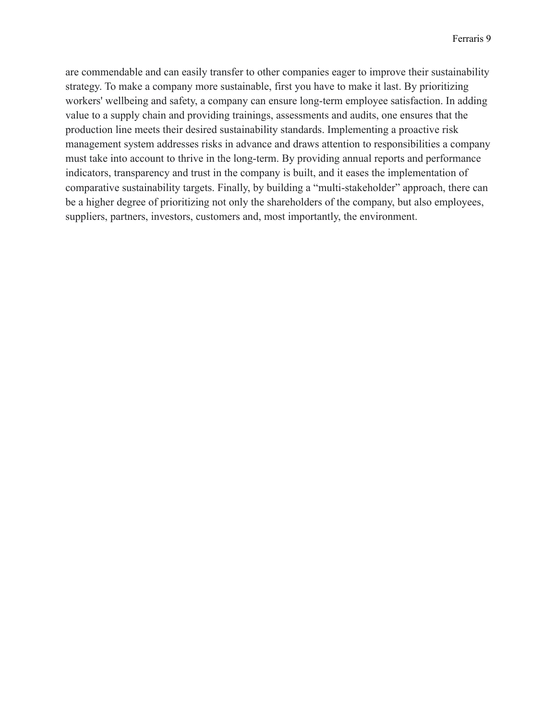are commendable and can easily transfer to other companies eager to improve their sustainability strategy. To make a company more sustainable, first you have to make it last. By prioritizing workers' wellbeing and safety, a company can ensure long-term employee satisfaction. In adding value to a supply chain and providing trainings, assessments and audits, one ensures that the production line meets their desired sustainability standards. Implementing a proactive risk management system addresses risks in advance and draws attention to responsibilities a company must take into account to thrive in the long-term. By providing annual reports and performance indicators, transparency and trust in the company is built, and it eases the implementation of comparative sustainability targets. Finally, by building a "multi-stakeholder" approach, there can be a higher degree of prioritizing not only the shareholders of the company, but also employees, suppliers, partners, investors, customers and, most importantly, the environment.